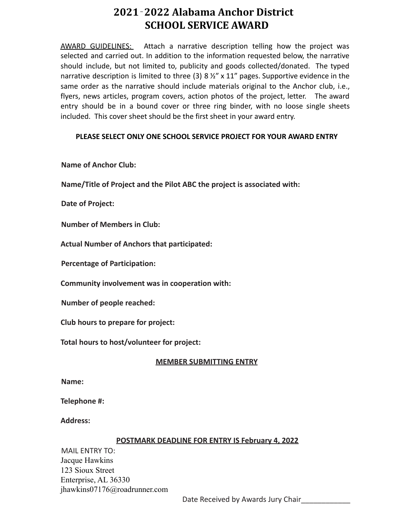# **2021**‐**2022 Alabama Anchor District SCHOOL SERVICE AWARD**

AWARD GUIDELINES: Attach a narrative description telling how the project was selected and carried out. In addition to the information requested below, the narrative should include, but not limited to, publicity and goods collected/donated. The typed narrative description is limited to three (3) 8  $\frac{1}{2}$ " x 11" pages. Supportive evidence in the same order as the narrative should include materials original to the Anchor club, i.e., flyers, news articles, program covers, action photos of the project, letter. The award entry should be in a bound cover or three ring binder, with no loose single sheets included. This cover sheet should be the first sheet in your award entry.

## **PLEASE SELECT ONLY ONE SCHOOL SERVICE PROJECT FOR YOUR AWARD ENTRY**

**Name of Anchor Club:**

**Name/Title of Project and the Pilot ABC the project is associated with:**

**Date of Project:**

**Number of Members in Club:**

**Actual Number of Anchors that participated:**

**Percentage of Participation:**

**Community involvement was in cooperation with:**

**Number of people reached:**

**Club hours to prepare for project:**

**Total hours to host/volunteer for project:**

### **MEMBER SUBMITTING ENTRY**

**Name:**

**Telephone #:**

**Address:**

### **POSTMARK DEADLINE FOR ENTRY IS February 4, 2022**

MAIL ENTRY TO: Jacque Hawkins 123 Sioux Street Enterprise, AL 36330 jhawkins07176@roadrunner.com

Date Received by Awards Jury Chair